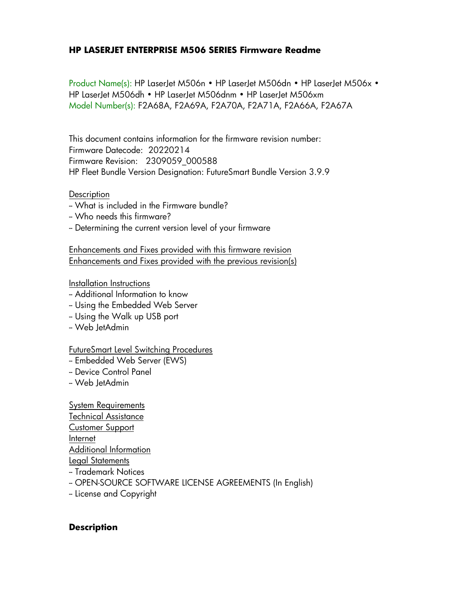### **HP LASERJET ENTERPRISE M506 SERIES Firmware Readme**

Product Name(s): HP LaserJet M506n • HP LaserJet M506dn • HP LaserJet M506x • HP LaserJet M506dh • HP LaserJet M506dnm • HP LaserJet M506xm Model Number(s): F2A68A, F2A69A, F2A70A, F2A71A, F2A66A, F2A67A

This document contains information for the firmware revision number: Firmware Datecode: 20220214 Firmware Revision: 2309059\_000588 HP Fleet Bundle Version Designation: FutureSmart Bundle Version 3.9.9

#### **Description**

- -- What is included in the Firmware bundle?
- -- Who needs this firmware?
- -- Determining the current version level of your firmware

Enhancements and Fixes provided with this firmware revision Enhancements and Fixes provided with the previous revision(s)

#### Installation Instructions

- -- Additional Information to know
- -- Using the Embedded Web Server
- -- Using the Walk up USB port
- -- Web JetAdmin

#### FutureSmart Level Switching Procedures

- -- Embedded Web Server (EWS)
- -- Device Control Panel
- -- Web JetAdmin

System Requirements Technical Assistance Customer Support Internet Additional Information Legal Statements -- Trademark Notices

- -- OPEN-SOURCE SOFTWARE LICENSE AGREEMENTS (In English)
- -- License and Copyright

#### **Description**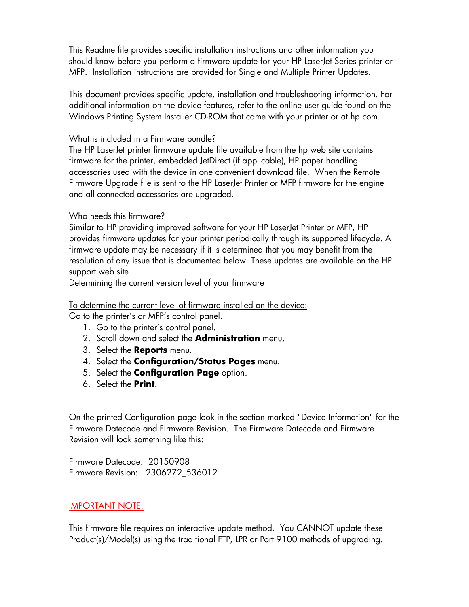This Readme file provides specific installation instructions and other information you should know before you perform a firmware update for your HP LaserJet Series printer or MFP. Installation instructions are provided for Single and Multiple Printer Updates.

This document provides specific update, installation and troubleshooting information. For additional information on the device features, refer to the online user guide found on the Windows Printing System Installer CD-ROM that came with your printer or at hp.com.

### What is included in a Firmware bundle?

The HP LaserJet printer firmware update file available from the hp web site contains firmware for the printer, embedded JetDirect (if applicable), HP paper handling accessories used with the device in one convenient download file. When the Remote Firmware Upgrade file is sent to the HP LaserJet Printer or MFP firmware for the engine and all connected accessories are upgraded.

### Who needs this firmware?

Similar to HP providing improved software for your HP LaserJet Printer or MFP, HP provides firmware updates for your printer periodically through its supported lifecycle. A firmware update may be necessary if it is determined that you may benefit from the resolution of any issue that is documented below. These updates are available on the HP support web site.

Determining the current version level of your firmware

#### To determine the current level of firmware installed on the device:

Go to the printer's or MFP's control panel.

- 1. Go to the printer's control panel.
- 2. Scroll down and select the **Administration** menu.
- 3. Select the **Reports** menu.
- 4. Select the **Configuration/Status Pages** menu.
- 5. Select the **Configuration Page** option.
- 6. Select the **Print**.

On the printed Configuration page look in the section marked "Device Information" for the Firmware Datecode and Firmware Revision. The Firmware Datecode and Firmware Revision will look something like this:

Firmware Datecode: 20150908 Firmware Revision: 2306272\_536012

### IMPORTANT NOTE:

This firmware file requires an interactive update method. You CANNOT update these Product(s)/Model(s) using the traditional FTP, LPR or Port 9100 methods of upgrading.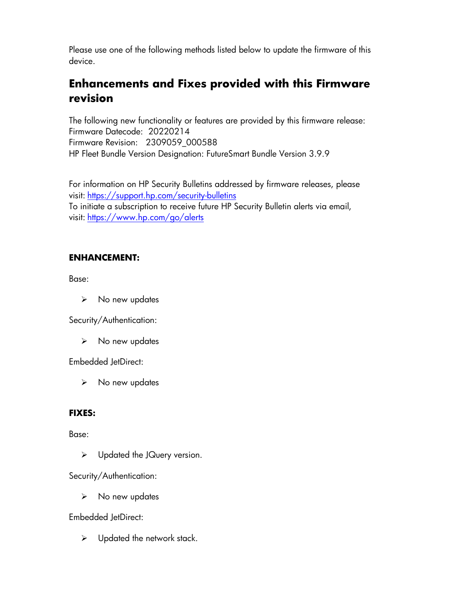Please use one of the following methods listed below to update the firmware of this device.

# **Enhancements and Fixes provided with this Firmware revision**

The following new functionality or features are provided by this firmware release: Firmware Datecode: 20220214 Firmware Revision: 2309059\_000588 HP Fleet Bundle Version Designation: FutureSmart Bundle Version 3.9.9

For information on HP Security Bulletins addressed by firmware releases, please visit: <https://support.hp.com/security-bulletins> To initiate a subscription to receive future HP Security Bulletin alerts via email, visit: <https://www.hp.com/go/alerts>

### **ENHANCEMENT:**

Base:

➢ No new updates

Security/Authentication:

➢ No new updates

Embedded JetDirect:

➢ No new updates

### **FIXES:**

Base:

➢ Updated the JQuery version.

Security/Authentication:

➢ No new updates

Embedded JetDirect:

 $\triangleright$  Updated the network stack.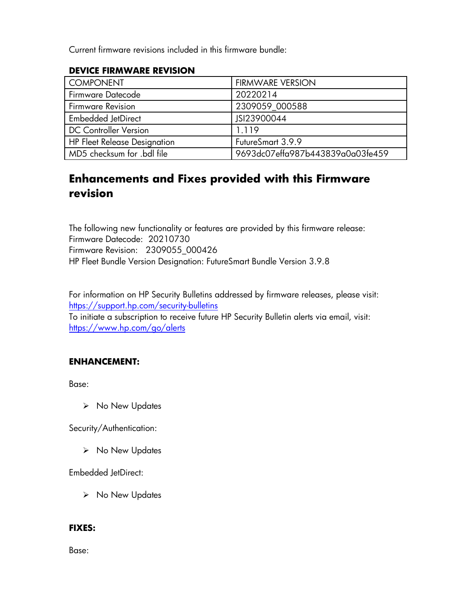Current firmware revisions included in this firmware bundle:

### **DEVICE FIRMWARE REVISION**

| <b>COMPONENT</b>                    | <b>FIRMWARE VERSION</b>          |
|-------------------------------------|----------------------------------|
| Firmware Datecode                   | 20220214                         |
| <b>Firmware Revision</b>            | 2309059 000588                   |
| <b>Embedded JetDirect</b>           | JSI23900044                      |
| <b>DC Controller Version</b>        | 1.119                            |
| <b>HP Fleet Release Designation</b> | FutureSmart 3.9.9                |
| MD5 checksum for .bdl file          | 9693dc07effa987b443839a0a03fe459 |

# **Enhancements and Fixes provided with this Firmware revision**

The following new functionality or features are provided by this firmware release: Firmware Datecode: 20210730 Firmware Revision: 2309055\_000426 HP Fleet Bundle Version Designation: FutureSmart Bundle Version 3.9.8

For information on HP Security Bulletins addressed by firmware releases, please visit: <https://support.hp.com/security-bulletins> To initiate a subscription to receive future HP Security Bulletin alerts via email, visit: <https://www.hp.com/go/alerts>

### **ENHANCEMENT:**

Base:

➢ No New Updates

Security/Authentication:

➢ No New Updates

Embedded JetDirect:

➢ No New Updates

### **FIXES:**

Base: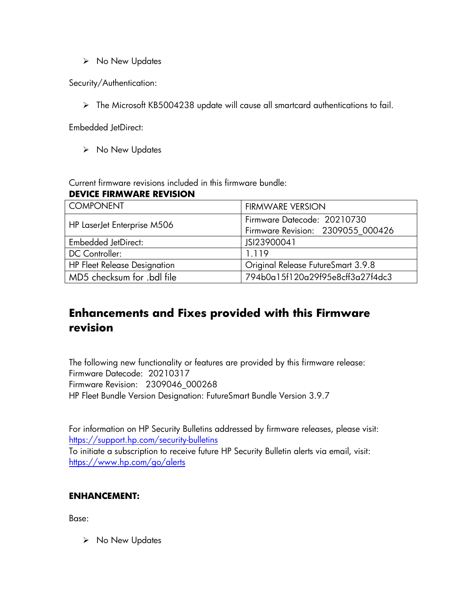➢ No New Updates

Security/Authentication:

➢ The Microsoft KB5004238 update will cause all smartcard authentications to fail.

Embedded JetDirect:

➢ No New Updates

Current firmware revisions included in this firmware bundle:

#### **DEVICE FIRMWARE REVISION**

| COMPONENT                           | <b>FIRMWARE VERSION</b>            |
|-------------------------------------|------------------------------------|
|                                     | Firmware Datecode: 20210730        |
| HP LaserJet Enterprise M506         | Firmware Revision: 2309055_000426  |
| <b>Embedded JetDirect:</b>          | JSI23900041                        |
| DC Controller:                      | 1.119                              |
| <b>HP Fleet Release Designation</b> | Original Release FutureSmart 3.9.8 |
| MD5 checksum for .bdl file          | 794b0a15f120a29f95e8cff3a27f4dc3   |

# **Enhancements and Fixes provided with this Firmware revision**

The following new functionality or features are provided by this firmware release: Firmware Datecode: 20210317 Firmware Revision: 2309046\_000268 HP Fleet Bundle Version Designation: FutureSmart Bundle Version 3.9.7

For information on HP Security Bulletins addressed by firmware releases, please visit: <https://support.hp.com/security-bulletins> To initiate a subscription to receive future HP Security Bulletin alerts via email, visit: <https://www.hp.com/go/alerts>

### **ENHANCEMENT:**

Base:

➢ No New Updates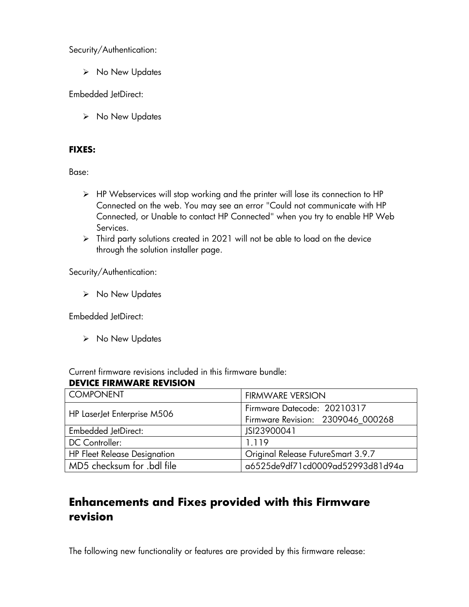Security/Authentication:

➢ No New Updates

Embedded JetDirect:

➢ No New Updates

### **FIXES:**

Base:

- ➢ HP Webservices will stop working and the printer will lose its connection to HP Connected on the web. You may see an error "Could not communicate with HP Connected, or Unable to contact HP Connected" when you try to enable HP Web Services.
- ➢ Third party solutions created in 2021 will not be able to load on the device through the solution installer page.

Security/Authentication:

➢ No New Updates

Embedded JetDirect:

➢ No New Updates

Current firmware revisions included in this firmware bundle:

### **DEVICE FIRMWARE REVISION**

| <b>COMPONENT</b>                    | <b>FIRMWARE VERSION</b>            |
|-------------------------------------|------------------------------------|
|                                     | Firmware Datecode: 20210317        |
| HP LaserJet Enterprise M506         | Firmware Revision: 2309046_000268  |
| <b>Embedded JetDirect:</b>          | JSI23900041                        |
| DC Controller:                      | 1.119                              |
| <b>HP Fleet Release Designation</b> | Original Release FutureSmart 3.9.7 |
| MD5 checksum for .bdl file          | a6525de9df71cd0009ad52993d81d94a   |

# **Enhancements and Fixes provided with this Firmware revision**

The following new functionality or features are provided by this firmware release: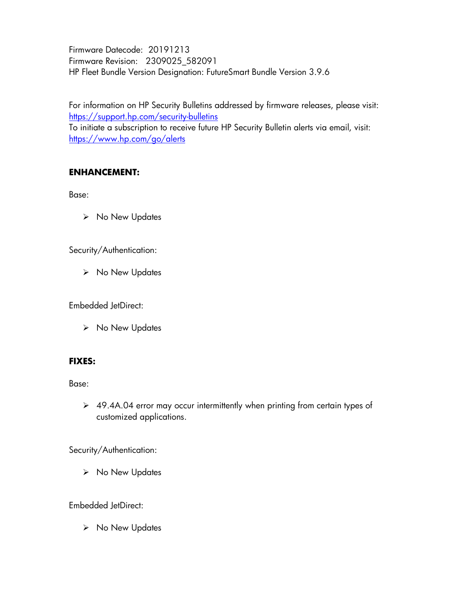Firmware Datecode: 20191213 Firmware Revision: 2309025\_582091 HP Fleet Bundle Version Designation: FutureSmart Bundle Version 3.9.6

For information on HP Security Bulletins addressed by firmware releases, please visit: <https://support.hp.com/security-bulletins> To initiate a subscription to receive future HP Security Bulletin alerts via email, visit: <https://www.hp.com/go/alerts>

# **ENHANCEMENT:**

Base:

➢ No New Updates

Security/Authentication:

➢ No New Updates

Embedded JetDirect:

➢ No New Updates

### **FIXES:**

Base:

➢ 49.4A.04 error may occur intermittently when printing from certain types of customized applications.

Security/Authentication:

➢ No New Updates

Embedded JetDirect:

➢ No New Updates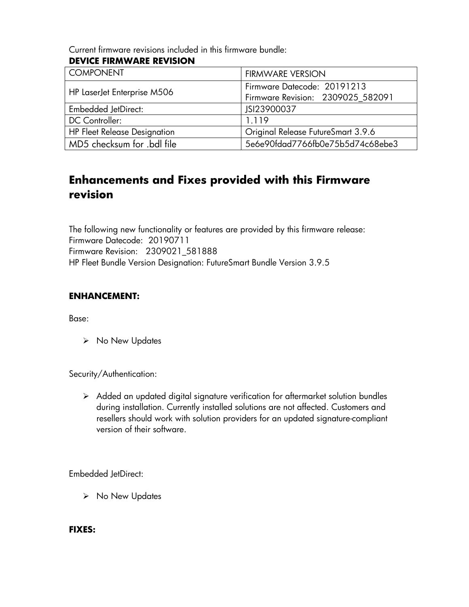Current firmware revisions included in this firmware bundle:

# **DEVICE FIRMWARE REVISION**

| <b>COMPONENT</b>                    | <b>FIRMWARE VERSION</b>            |
|-------------------------------------|------------------------------------|
|                                     | Firmware Datecode: 20191213        |
| HP LaserJet Enterprise M506         | Firmware Revision: 2309025 582091  |
| <b>Embedded JetDirect:</b>          | JSI23900037                        |
| DC Controller:                      | 1.119                              |
| <b>HP Fleet Release Designation</b> | Original Release FutureSmart 3.9.6 |
| MD5 checksum for .bdl file          | 5e6e90fdgd7766fb0e75b5d74c68ebe3   |

# **Enhancements and Fixes provided with this Firmware revision**

The following new functionality or features are provided by this firmware release: Firmware Datecode: 20190711 Firmware Revision: 2309021\_581888 HP Fleet Bundle Version Designation: FutureSmart Bundle Version 3.9.5

### **ENHANCEMENT:**

Base:

➢ No New Updates

Security/Authentication:

➢ Added an updated digital signature verification for aftermarket solution bundles during installation. Currently installed solutions are not affected. Customers and resellers should work with solution providers for an updated signature-compliant version of their software.

Embedded JetDirect:

➢ No New Updates

**FIXES:**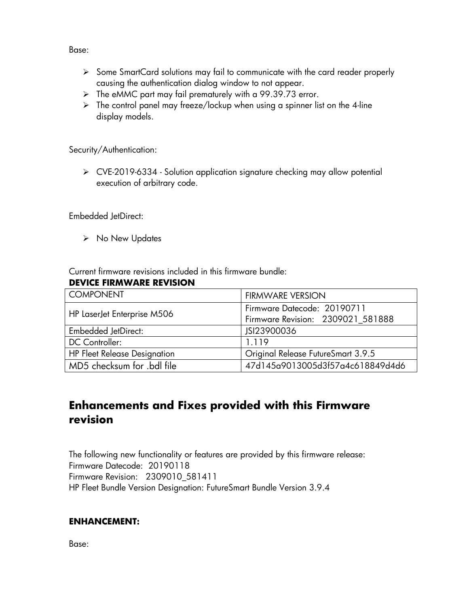Base:

- ➢ Some SmartCard solutions may fail to communicate with the card reader properly causing the authentication dialog window to not appear.
- ➢ The eMMC part may fail prematurely with a 99.39.73 error.
- ➢ The control panel may freeze/lockup when using a spinner list on the 4-line display models.

Security/Authentication:

➢ CVE-2019-6334 - Solution application signature checking may allow potential execution of arbitrary code.

Embedded JetDirect:

➢ No New Updates

Current firmware revisions included in this firmware bundle:

### **DEVICE FIRMWARE REVISION**

| <b>COMPONENT</b>                    | <b>FIRMWARE VERSION</b>            |
|-------------------------------------|------------------------------------|
|                                     | Firmware Datecode: 20190711        |
| HP LaserJet Enterprise M506         | Firmware Revision: 2309021 581888  |
| <b>Embedded JetDirect:</b>          | JSI23900036                        |
| <b>DC</b> Controller:               | 1.119                              |
| <b>HP Fleet Release Designation</b> | Original Release FutureSmart 3.9.5 |
| MD5 checksum for .bdl file          | 47d145a9013005d3f57a4c618849d4d6   |

# **Enhancements and Fixes provided with this Firmware revision**

The following new functionality or features are provided by this firmware release: Firmware Datecode: 20190118 Firmware Revision: 2309010\_581411 HP Fleet Bundle Version Designation: FutureSmart Bundle Version 3.9.4

# **ENHANCEMENT:**

Base: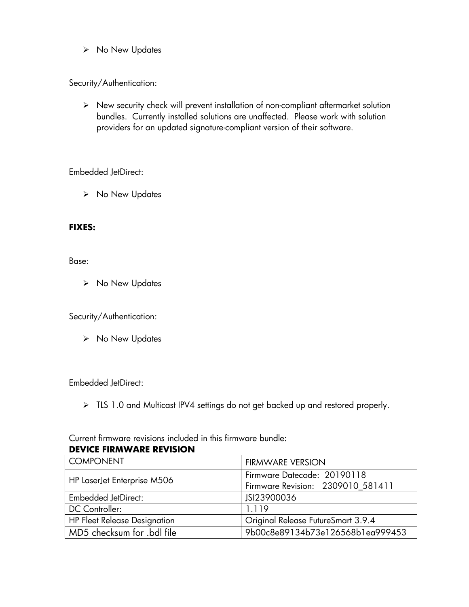➢ No New Updates

Security/Authentication:

➢ New security check will prevent installation of non-compliant aftermarket solution bundles. Currently installed solutions are unaffected. Please work with solution providers for an updated signature-compliant version of their software.

Embedded JetDirect:

➢ No New Updates

### **FIXES:**

Base:

➢ No New Updates

Security/Authentication:

➢ No New Updates

Embedded JetDirect:

➢ TLS 1.0 and Multicast IPV4 settings do not get backed up and restored properly.

Current firmware revisions included in this firmware bundle:

| <b>DEVICE FIRMWARE REVISION</b> |  |
|---------------------------------|--|
|                                 |  |

| <b>COMPONENT</b>                    | <b>FIRMWARE VERSION</b>            |
|-------------------------------------|------------------------------------|
|                                     | Firmware Datecode: 20190118        |
| HP LaserJet Enterprise M506         | Firmware Revision: 2309010_581411  |
| <b>Embedded JetDirect:</b>          | JSI23900036                        |
| DC Controller:                      | 1.119                              |
| <b>HP Fleet Release Designation</b> | Original Release FutureSmart 3.9.4 |
| MD5 checksum for .bdl file          | 9b00c8e89134b73e126568blea999453   |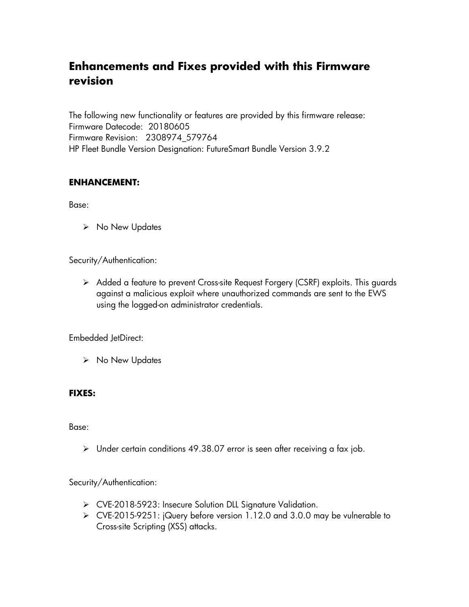# **Enhancements and Fixes provided with this Firmware revision**

The following new functionality or features are provided by this firmware release: Firmware Datecode: 20180605 Firmware Revision: 2308974\_579764 HP Fleet Bundle Version Designation: FutureSmart Bundle Version 3.9.2

### **ENHANCEMENT:**

Base:

➢ No New Updates

Security/Authentication:

➢ Added a feature to prevent Cross-site Request Forgery (CSRF) exploits. This guards against a malicious exploit where unauthorized commands are sent to the EWS using the logged-on administrator credentials.

Embedded JetDirect:

➢ No New Updates

### **FIXES:**

Base:

➢ Under certain conditions 49.38.07 error is seen after receiving a fax job.

Security/Authentication:

- ➢ CVE-2018-5923: Insecure Solution DLL Signature Validation.
- ➢ CVE-2015-9251: jQuery before version 1.12.0 and 3.0.0 may be vulnerable to Cross-site Scripting (XSS) attacks.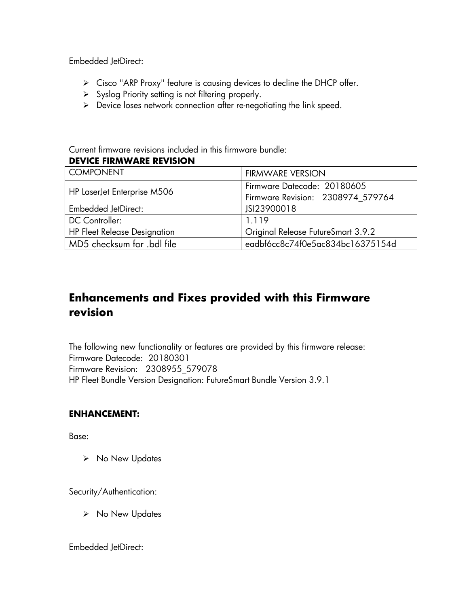Embedded JetDirect:

- ➢ Cisco "ARP Proxy" feature is causing devices to decline the DHCP offer.
- ➢ Syslog Priority setting is not filtering properly.
- ➢ Device loses network connection after re-negotiating the link speed.

Current firmware revisions included in this firmware bundle: **DEVICE FIRMWARE REVISION**

| <b>COMPONENT</b>                    | <b>FIRMWARE VERSION</b>            |
|-------------------------------------|------------------------------------|
|                                     | Firmware Datecode: 20180605        |
| HP LaserJet Enterprise M506         | Firmware Revision: 2308974_579764  |
| <b>Embedded JetDirect:</b>          | JSI23900018                        |
| DC Controller:                      | 1.119                              |
| <b>HP Fleet Release Designation</b> | Original Release FutureSmart 3.9.2 |
| MD5 checksum for .bdl file          | eadbf6cc8c74f0e5ac834bc16375154d   |

# **Enhancements and Fixes provided with this Firmware revision**

The following new functionality or features are provided by this firmware release: Firmware Datecode: 20180301 Firmware Revision: 2308955\_579078 HP Fleet Bundle Version Designation: FutureSmart Bundle Version 3.9.1

# **ENHANCEMENT:**

Base:

➢ No New Updates

Security/Authentication:

➢ No New Updates

Embedded JetDirect: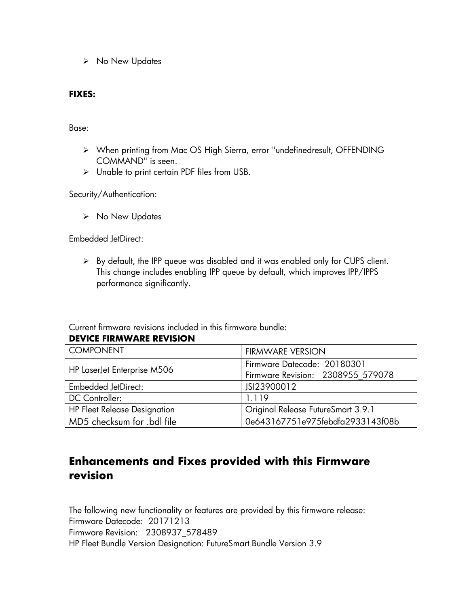➢ No New Updates

### **FIXES:**

Base:

- ➢ When printing from Mac OS High Sierra, error "undefinedresult, OFFENDING COMMAND" is seen.
- ➢ Unable to print certain PDF files from USB.

Security/Authentication:

➢ No New Updates

Embedded JetDirect:

➢ By default, the IPP queue was disabled and it was enabled only for CUPS client. This change includes enabling IPP queue by default, which improves IPP/IPPS performance significantly.

Current firmware revisions included in this firmware bundle:

**DEVICE FIRMWARE REVISION**

| <b>COMPONENT</b>                    | <b>FIRMWARE VERSION</b>            |
|-------------------------------------|------------------------------------|
|                                     | Firmware Datecode: 20180301        |
| HP LaserJet Enterprise M506         | Firmware Revision: 2308955 579078  |
| <b>Embedded JetDirect:</b>          | JSI23900012                        |
| DC Controller:                      | 1.119                              |
| <b>HP Fleet Release Designation</b> | Original Release FutureSmart 3.9.1 |
| MD5 checksum for .bdl file          | 0e643167751e975febdfa2933143f08b   |

# **Enhancements and Fixes provided with this Firmware revision**

The following new functionality or features are provided by this firmware release: Firmware Datecode: 20171213 Firmware Revision: 2308937\_578489 HP Fleet Bundle Version Designation: FutureSmart Bundle Version 3.9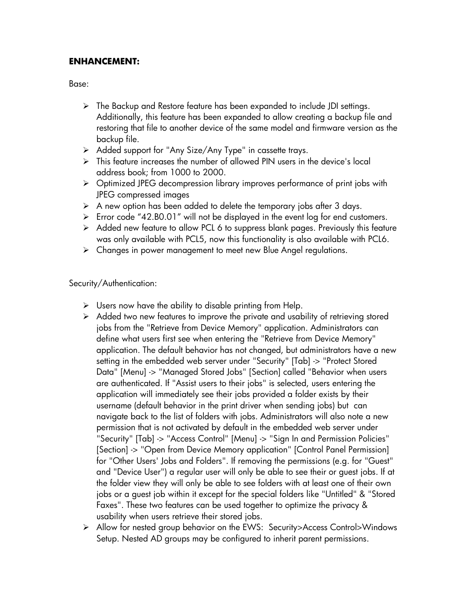# **ENHANCEMENT:**

Base:

- ➢ The Backup and Restore feature has been expanded to include JDI settings. Additionally, this feature has been expanded to allow creating a backup file and restoring that file to another device of the same model and firmware version as the backup file.
- ➢ Added support for "Any Size/Any Type" in cassette trays.
- $\triangleright$  This feature increases the number of allowed PIN users in the device's local address book; from 1000 to 2000.
- ➢ Optimized JPEG decompression library improves performance of print jobs with JPEG compressed images
- $\triangleright$  A new option has been added to delete the temporary jobs after 3 days.
- ➢ Error code "42.B0.01" will not be displayed in the event log for end customers.
- ➢ Added new feature to allow PCL 6 to suppress blank pages. Previously this feature was only available with PCL5, now this functionality is also available with PCL6.
- ➢ Changes in power management to meet new Blue Angel regulations.

Security/Authentication:

- $\triangleright$  Users now have the ability to disable printing from Help.
- $\triangleright$  Added two new features to improve the private and usability of retrieving stored jobs from the "Retrieve from Device Memory" application. Administrators can define what users first see when entering the "Retrieve from Device Memory" application. The default behavior has not changed, but administrators have a new setting in the embedded web server under "Security" [Tab] -> "Protect Stored Data" [Menu] -> "Managed Stored Jobs" [Section] called "Behavior when users are authenticated. If "Assist users to their jobs" is selected, users entering the application will immediately see their jobs provided a folder exists by their username (default behavior in the print driver when sending jobs) but can navigate back to the list of folders with jobs. Administrators will also note a new permission that is not activated by default in the embedded web server under "Security" [Tab] -> "Access Control" [Menu] -> "Sign In and Permission Policies" [Section] -> "Open from Device Memory application" [Control Panel Permission] for "Other Users' Jobs and Folders". If removing the permissions (e.g. for "Guest" and "Device User") a regular user will only be able to see their or guest jobs. If at the folder view they will only be able to see folders with at least one of their own jobs or a guest job within it except for the special folders like "Untitled" & "Stored Faxes". These two features can be used together to optimize the privacy & usability when users retrieve their stored jobs.
- ➢ Allow for nested group behavior on the EWS: Security>Access Control>Windows Setup. Nested AD groups may be configured to inherit parent permissions.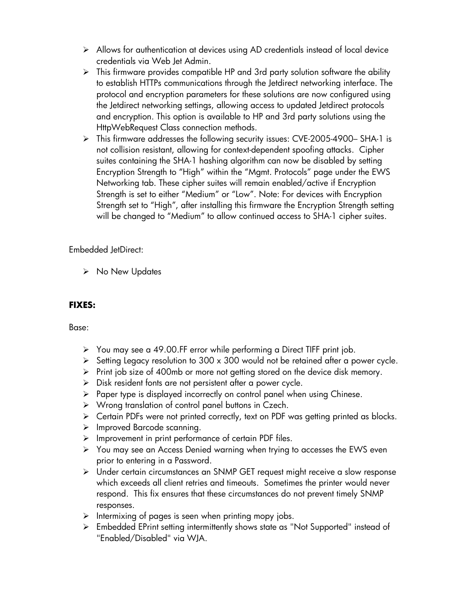- ➢ Allows for authentication at devices using AD credentials instead of local device credentials via Web Jet Admin.
- $\triangleright$  This firmware provides compatible HP and 3rd party solution software the ability to establish HTTPs communications through the Jetdirect networking interface. The protocol and encryption parameters for these solutions are now configured using the Jetdirect networking settings, allowing access to updated Jetdirect protocols and encryption. This option is available to HP and 3rd party solutions using the HttpWebRequest Class connection methods.
- ➢ This firmware addresses the following security issues: CVE-2005-4900– SHA-1 is not collision resistant, allowing for context-dependent spoofing attacks. Cipher suites containing the SHA-1 hashing algorithm can now be disabled by setting Encryption Strength to "High" within the "Mgmt. Protocols" page under the EWS Networking tab. These cipher suites will remain enabled/active if Encryption Strength is set to either "Medium" or "Low". Note: For devices with Encryption Strength set to "High", after installing this firmware the Encryption Strength setting will be changed to "Medium" to allow continued access to SHA-1 cipher suites.

Embedded JetDirect:

➢ No New Updates

# **FIXES:**

Base:

- ➢ You may see a 49.00.FF error while performing a Direct TIFF print job.
- $\triangleright$  Setting Legacy resolution to 300 x 300 would not be retained after a power cycle.
- ➢ Print job size of 400mb or more not getting stored on the device disk memory.
- ➢ Disk resident fonts are not persistent after a power cycle.
- ➢ Paper type is displayed incorrectly on control panel when using Chinese.
- ➢ Wrong translation of control panel buttons in Czech.
- ➢ Certain PDFs were not printed correctly, text on PDF was getting printed as blocks.
- ➢ Improved Barcode scanning.
- ➢ Improvement in print performance of certain PDF files.
- ➢ You may see an Access Denied warning when trying to accesses the EWS even prior to entering in a Password.
- ➢ Under certain circumstances an SNMP GET request might receive a slow response which exceeds all client retries and timeouts. Sometimes the printer would never respond. This fix ensures that these circumstances do not prevent timely SNMP responses.
- $\triangleright$  Intermixing of pages is seen when printing mopy jobs.
- ➢ Embedded EPrint setting intermittently shows state as "Not Supported" instead of "Enabled/Disabled" via WJA.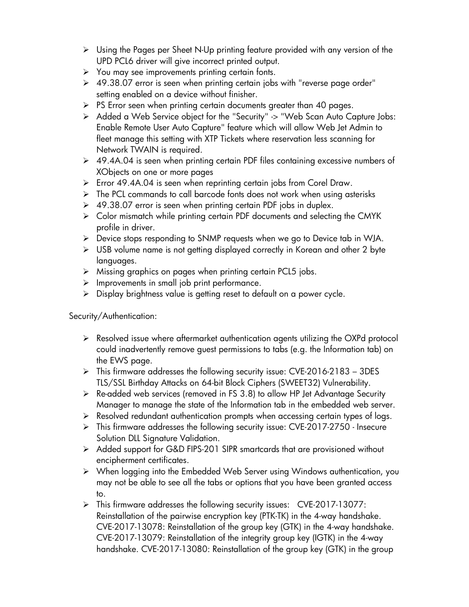- ➢ Using the Pages per Sheet N-Up printing feature provided with any version of the UPD PCL6 driver will give incorrect printed output.
- $\triangleright$  You may see improvements printing certain fonts.
- ➢ 49.38.07 error is seen when printing certain jobs with "reverse page order" setting enabled on a device without finisher.
- $\triangleright$  PS Error seen when printing certain documents greater than 40 pages.
- ➢ Added a Web Service object for the "Security" -> "Web Scan Auto Capture Jobs: Enable Remote User Auto Capture" feature which will allow Web Jet Admin to fleet manage this setting with XTP Tickets where reservation less scanning for Network TWAIN is required.
- ➢ 49.4A.04 is seen when printing certain PDF files containing excessive numbers of XObjects on one or more pages
- ➢ Error 49.4A.04 is seen when reprinting certain jobs from Corel Draw.
- ➢ The PCL commands to call barcode fonts does not work when using asterisks
- ➢ 49.38.07 error is seen when printing certain PDF jobs in duplex.
- ➢ Color mismatch while printing certain PDF documents and selecting the CMYK profile in driver.
- ➢ Device stops responding to SNMP requests when we go to Device tab in WJA.
- ➢ USB volume name is not getting displayed correctly in Korean and other 2 byte languages.
- ➢ Missing graphics on pages when printing certain PCL5 jobs.
- ➢ Improvements in small job print performance.
- ➢ Display brightness value is getting reset to default on a power cycle.

Security/Authentication:

- ➢ Resolved issue where aftermarket authentication agents utilizing the OXPd protocol could inadvertently remove guest permissions to tabs (e.g. the Information tab) on the EWS page.
- $\triangleright$  This firmware addresses the following security issue: CVE-2016-2183 3DES TLS/SSL Birthday Attacks on 64-bit Block Ciphers (SWEET32) Vulnerability.
- ➢ Re-added web services (removed in FS 3.8) to allow HP Jet Advantage Security Manager to manage the state of the Information tab in the embedded web server.
- ➢ Resolved redundant authentication prompts when accessing certain types of logs.
- ➢ This firmware addresses the following security issue: CVE-2017-2750 Insecure Solution DLL Signature Validation.
- ➢ Added support for G&D FIPS-201 SIPR smartcards that are provisioned without encipherment certificates.
- ➢ When logging into the Embedded Web Server using Windows authentication, you may not be able to see all the tabs or options that you have been granted access to.
- ➢ This firmware addresses the following security issues: CVE-2017-13077: Reinstallation of the pairwise encryption key (PTK-TK) in the 4-way handshake. CVE-2017-13078: Reinstallation of the group key (GTK) in the 4-way handshake. CVE-2017-13079: Reinstallation of the integrity group key (IGTK) in the 4-way handshake. CVE-2017-13080: Reinstallation of the group key (GTK) in the group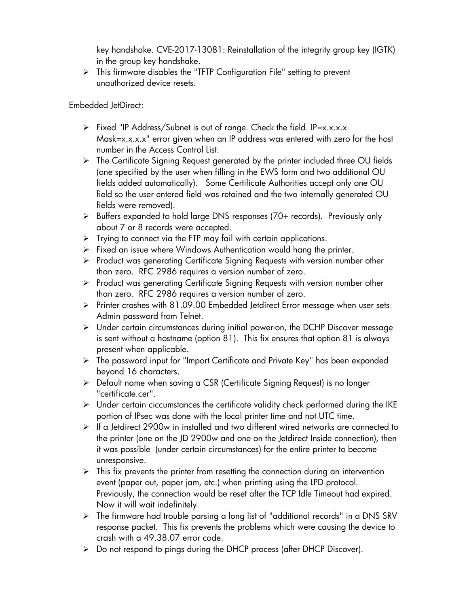key handshake. CVE-2017-13081: Reinstallation of the integrity group key (IGTK) in the group key handshake.

➢ This firmware disables the "TFTP Configuration File" setting to prevent unauthorized device resets.

Embedded JetDirect:

- ➢ Fixed "IP Address/Subnet is out of range. Check the field. IP=x.x.x.x Mask=x.x.x.x" error given when an IP address was entered with zero for the host number in the Access Control List.
- ➢ The Certificate Signing Request generated by the printer included three OU fields (one specified by the user when filling in the EWS form and two additional OU fields added automatically). Some Certificate Authorities accept only one OU field so the user entered field was retained and the two internally generated OU fields were removed).
- ➢ Buffers expanded to hold large DNS responses (70+ records). Previously only about 7 or 8 records were accepted.
- $\triangleright$  Trying to connect via the FTP may fail with certain applications.
- ➢ Fixed an issue where Windows Authentication would hang the printer.
- ➢ Product was generating Certificate Signing Requests with version number other than zero. RFC 2986 requires a version number of zero.
- ➢ Product was generating Certificate Signing Requests with version number other than zero. RFC 2986 requires a version number of zero.
- ➢ Printer crashes with 81.09.00 Embedded Jetdirect Error message when user sets Admin password from Telnet.
- ➢ Under certain circumstances during initial power-on, the DCHP Discover message is sent without a hostname (option 81). This fix ensures that option 81 is always present when applicable.
- ➢ The password input for "Import Certificate and Private Key" has been expanded beyond 16 characters.
- ➢ Default name when saving a CSR (Certificate Signing Request) is no longer "certificate.cer".
- $\triangleright$  Under certain ciccumstances the certificate validity check performed during the IKE portion of IPsec was done with the local printer time and not UTC time.
- ➢ If a Jetdirect 2900w in installed and two different wired networks are connected to the printer (one on the JD 2900w and one on the Jetdirect Inside connection), then it was possible (under certain circumstances) for the entire printer to become unresponsive.
- $\triangleright$  This fix prevents the printer from resetting the connection during an intervention event (paper out, paper jam, etc.) when printing using the LPD protocol. Previously, the connection would be reset after the TCP Idle Timeout had expired. Now it will wait indefinitely.
- ➢ The firmware had trouble parsing a long list of "additional records" in a DNS SRV response packet. This fix prevents the problems which were causing the device to crash with a 49.38.07 error code.
- ➢ Do not respond to pings during the DHCP process (after DHCP Discover).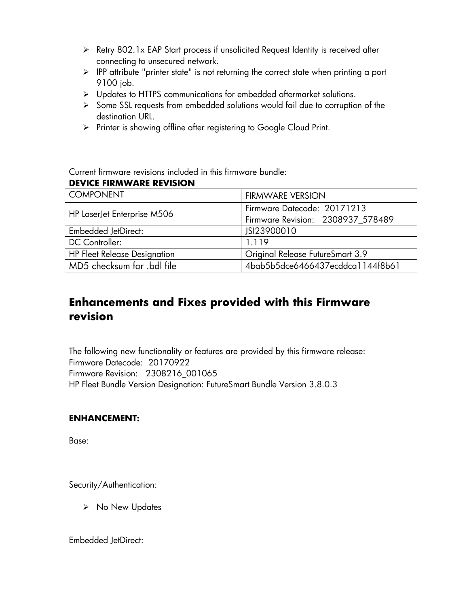- ➢ Retry 802.1x EAP Start process if unsolicited Request Identity is received after connecting to unsecured network.
- ➢ IPP attribute "printer state" is not returning the correct state when printing a port 9100 job.
- ➢ Updates to HTTPS communications for embedded aftermarket solutions.
- ➢ Some SSL requests from embedded solutions would fail due to corruption of the destination URL.
- ➢ Printer is showing offline after registering to Google Cloud Print.

Current firmware revisions included in this firmware bundle:

# **DEVICE FIRMWARE REVISION**

| <b>COMPONENT</b>                    | <b>FIRMWARE VERSION</b>           |
|-------------------------------------|-----------------------------------|
|                                     | Firmware Datecode: 20171213       |
| HP LaserJet Enterprise M506         | Firmware Revision: 2308937 578489 |
| <b>Embedded JetDirect:</b>          | JSI23900010                       |
| <b>DC</b> Controller:               | 1.119                             |
| <b>HP Fleet Release Designation</b> | Original Release FutureSmart 3.9  |
| MD5 checksum for .bdl file          | 4bab5b5dce6466437ecddca1144f8b61  |

# **Enhancements and Fixes provided with this Firmware revision**

The following new functionality or features are provided by this firmware release: Firmware Datecode: 20170922 Firmware Revision: 2308216\_001065 HP Fleet Bundle Version Designation: FutureSmart Bundle Version 3.8.0.3

### **ENHANCEMENT:**

Base:

Security/Authentication:

➢ No New Updates

Embedded JetDirect: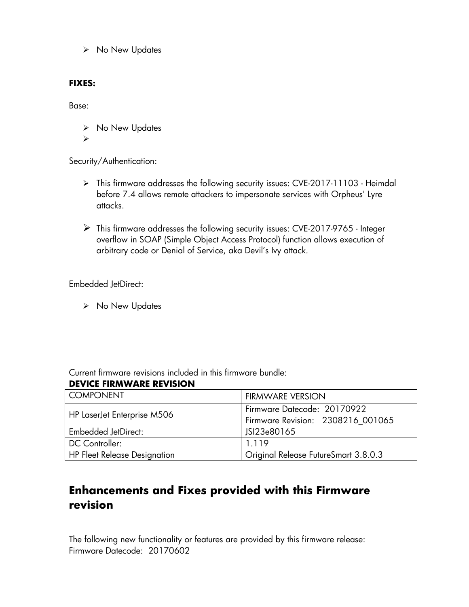➢ No New Updates

### **FIXES:**

Base:

➢ No New Updates

➢

Security/Authentication:

- ➢ This firmware addresses the following security issues: CVE-2017-11103 Heimdal before 7.4 allows remote attackers to impersonate services with Orpheus' Lyre attacks.
- ➢ This firmware addresses the following security issues: CVE-2017-9765 Integer overflow in SOAP (Simple Object Access Protocol) function allows execution of arbitrary code or Denial of Service, aka Devil's Ivy attack.

Embedded JetDirect:

➢ No New Updates

Current firmware revisions included in this firmware bundle:

# **DEVICE FIRMWARE REVISION**

| <b>COMPONENT</b>                    | <b>FIRMWARE VERSION</b>              |
|-------------------------------------|--------------------------------------|
| HP LaserJet Enterprise M506         | Firmware Datecode: 20170922          |
|                                     | Firmware Revision: 2308216_001065    |
| <b>Embedded JetDirect:</b>          | JSI23e80165                          |
| DC Controller:                      | 1.119                                |
| <b>HP Fleet Release Designation</b> | Original Release FutureSmart 3.8.0.3 |

# **Enhancements and Fixes provided with this Firmware revision**

The following new functionality or features are provided by this firmware release: Firmware Datecode: 20170602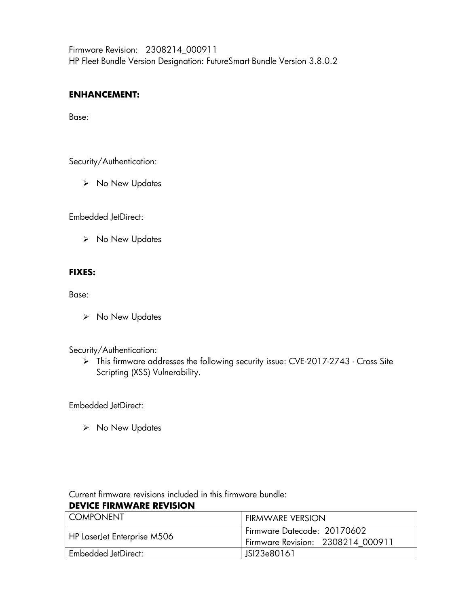Firmware Revision: 2308214\_000911 HP Fleet Bundle Version Designation: FutureSmart Bundle Version 3.8.0.2

### **ENHANCEMENT:**

Base:

Security/Authentication:

➢ No New Updates

Embedded JetDirect:

➢ No New Updates

### **FIXES:**

Base:

➢ No New Updates

### Security/Authentication:

➢ This firmware addresses the following security issue: CVE-2017-2743 - Cross Site Scripting (XSS) Vulnerability.

Embedded JetDirect:

➢ No New Updates

Current firmware revisions included in this firmware bundle:

### **DEVICE FIRMWARE REVISION**

| I COMPONENT                 | <b>FIRMWARE VERSION</b>                                            |
|-----------------------------|--------------------------------------------------------------------|
| HP LaserJet Enterprise M506 | l Firmware Datecode: 20170602<br>Firmware Revision: 2308214 000911 |
|                             |                                                                    |
| Embedded JetDirect:         | JSI23e80161                                                        |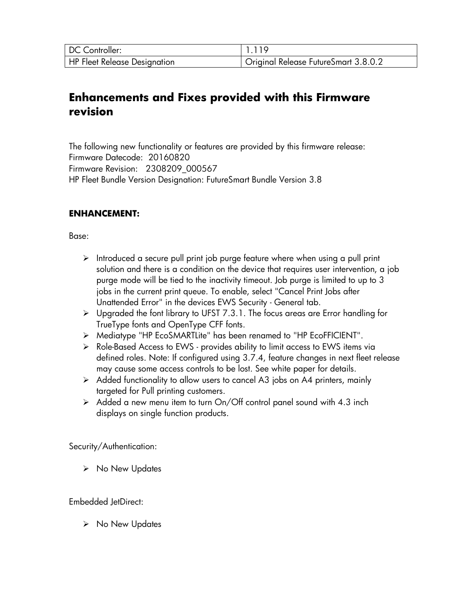| DC Controller:                      |                                      |
|-------------------------------------|--------------------------------------|
| <b>HP Fleet Release Designation</b> | Original Release FutureSmart 3.8.0.2 |

# **Enhancements and Fixes provided with this Firmware revision**

The following new functionality or features are provided by this firmware release: Firmware Datecode: 20160820 Firmware Revision: 2308209\_000567 HP Fleet Bundle Version Designation: FutureSmart Bundle Version 3.8

### **ENHANCEMENT:**

Base:

- ➢ Introduced a secure pull print job purge feature where when using a pull print solution and there is a condition on the device that requires user intervention, a job purge mode will be tied to the inactivity timeout. Job purge is limited to up to 3 jobs in the current print queue. To enable, select "Cancel Print Jobs after Unattended Error" in the devices EWS Security - General tab.
- ➢ Upgraded the font library to UFST 7.3.1. The focus areas are Error handling for TrueType fonts and OpenType CFF fonts.
- ➢ Mediatype "HP EcoSMARTLite" has been renamed to "HP EcoFFICIENT".
- ➢ Role-Based Access to EWS provides ability to limit access to EWS items via defined roles. Note: If configured using 3.7.4, feature changes in next fleet release may cause some access controls to be lost. See white paper for details.
- ➢ Added functionality to allow users to cancel A3 jobs on A4 printers, mainly targeted for Pull printing customers.
- $\triangleright$  Added a new menu item to turn On/Off control panel sound with 4.3 inch displays on single function products.

Security/Authentication:

➢ No New Updates

Embedded JetDirect:

➢ No New Updates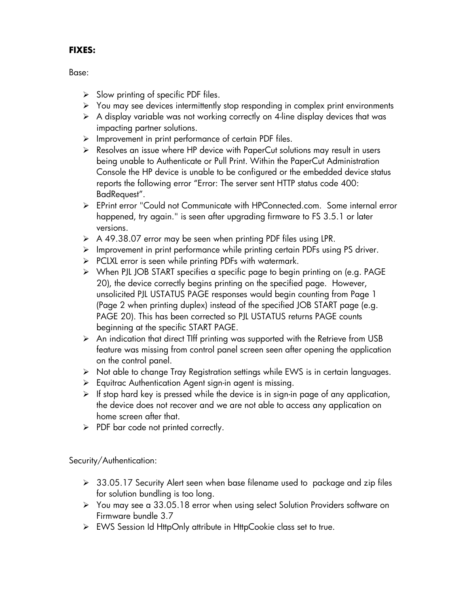# **FIXES:**

Base:

- $\triangleright$  Slow printing of specific PDF files.
- ➢ You may see devices intermittently stop responding in complex print environments
- $\triangleright$  A display variable was not working correctly on 4-line display devices that was impacting partner solutions.
- ➢ Improvement in print performance of certain PDF files.
- ➢ Resolves an issue where HP device with PaperCut solutions may result in users being unable to Authenticate or Pull Print. Within the PaperCut Administration Console the HP device is unable to be configured or the embedded device status reports the following error "Error: The server sent HTTP status code 400: BadRequest".
- ➢ EPrint error "Could not Communicate with HPConnected.com. Some internal error happened, try again." is seen after upgrading firmware to FS 3.5.1 or later versions.
- ➢ A 49.38.07 error may be seen when printing PDF files using LPR.
- $\triangleright$  Improvement in print performance while printing certain PDFs using PS driver.
- ➢ PCLXL error is seen while printing PDFs with watermark.
- ➢ When PJL JOB START specifies a specific page to begin printing on (e.g. PAGE 20), the device correctly begins printing on the specified page. However, unsolicited PJL USTATUS PAGE responses would begin counting from Page 1 (Page 2 when printing duplex) instead of the specified JOB START page (e.g. PAGE 20). This has been corrected so PJL USTATUS returns PAGE counts beginning at the specific START PAGE.
- ➢ An indication that direct TIff printing was supported with the Retrieve from USB feature was missing from control panel screen seen after opening the application on the control panel.
- ➢ Not able to change Tray Registration settings while EWS is in certain languages.
- ➢ Equitrac Authentication Agent sign-in agent is missing.
- $\triangleright$  If stop hard key is pressed while the device is in sign-in page of any application, the device does not recover and we are not able to access any application on home screen after that.
- $\triangleright$  PDF bar code not printed correctly.

Security/Authentication:

- ➢ 33.05.17 Security Alert seen when base filename used to package and zip files for solution bundling is too long.
- ➢ You may see a 33.05.18 error when using select Solution Providers software on Firmware bundle 3.7
- ➢ EWS Session Id HttpOnly attribute in HttpCookie class set to true.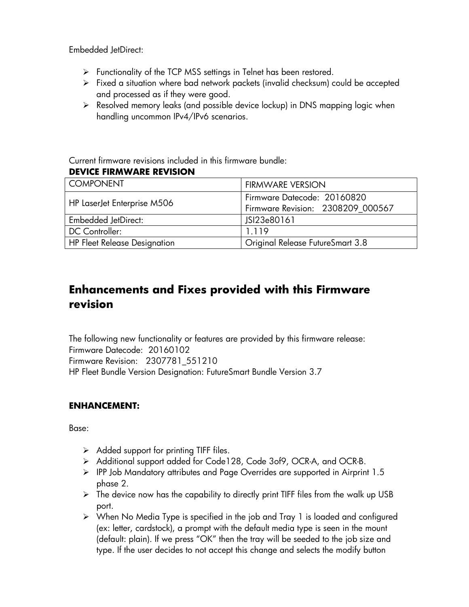Embedded JetDirect:

- ➢ Functionality of the TCP MSS settings in Telnet has been restored.
- ➢ Fixed a situation where bad network packets (invalid checksum) could be accepted and processed as if they were good.
- ➢ Resolved memory leaks (and possible device lockup) in DNS mapping logic when handling uncommon IPv4/IPv6 scenarios.

Current firmware revisions included in this firmware bundle:

### **DEVICE FIRMWARE REVISION**

| I COMPONENT                  | <b>FIRMWARE VERSION</b>                                          |
|------------------------------|------------------------------------------------------------------|
| HP LaserJet Enterprise M506  | Firmware Datecode: 20160820<br>Firmware Revision: 2308209_000567 |
| <b>Embedded JetDirect:</b>   | JSI23e80161                                                      |
| <b>DC</b> Controller:        | 1.119                                                            |
| HP Fleet Release Designation | Original Release FutureSmart 3.8                                 |

# **Enhancements and Fixes provided with this Firmware revision**

The following new functionality or features are provided by this firmware release: Firmware Datecode: 20160102 Firmware Revision: 2307781\_551210 HP Fleet Bundle Version Designation: FutureSmart Bundle Version 3.7

# **ENHANCEMENT:**

Base:

- $\triangleright$  Added support for printing TIFF files.
- ➢ Additional support added for Code128, Code 3of9, OCR-A, and OCR-B.
- ➢ IPP Job Mandatory attributes and Page Overrides are supported in Airprint 1.5 phase 2.
- $\triangleright$  The device now has the capability to directly print TIFF files from the walk up USB port.
- ➢ When No Media Type is specified in the job and Tray 1 is loaded and configured (ex: letter, cardstock), a prompt with the default media type is seen in the mount (default: plain). If we press "OK" then the tray will be seeded to the job size and type. If the user decides to not accept this change and selects the modify button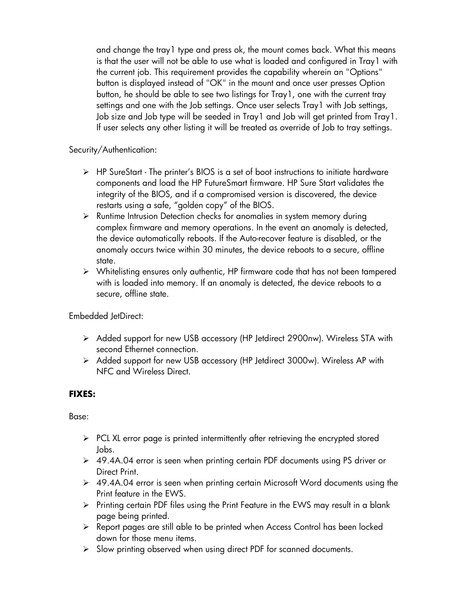and change the tray1 type and press ok, the mount comes back. What this means is that the user will not be able to use what is loaded and configured in Tray1 with the current job. This requirement provides the capability wherein an "Options" button is displayed instead of "OK" in the mount and once user presses Option button, he should be able to see two listings for Tray1, one with the current tray settings and one with the Job settings. Once user selects Tray1 with Job settings, Job size and Job type will be seeded in Tray1 and Job will get printed from Tray1. If user selects any other listing it will be treated as override of Job to tray settings.

### Security/Authentication:

- ➢ HP SureStart The printer's BIOS is a set of boot instructions to initiate hardware components and load the HP FutureSmart firmware. HP Sure Start validates the integrity of the BIOS, and if a compromised version is discovered, the device restarts using a safe, "golden copy" of the BIOS.
- ➢ Runtime Intrusion Detection checks for anomalies in system memory during complex firmware and memory operations. In the event an anomaly is detected, the device automatically reboots. If the Auto-recover feature is disabled, or the anomaly occurs twice within 30 minutes, the device reboots to a secure, offline state.
- ➢ Whitelisting ensures only authentic, HP firmware code that has not been tampered with is loaded into memory. If an anomaly is detected, the device reboots to a secure, offline state.

Embedded JetDirect:

- ➢ Added support for new USB accessory (HP Jetdirect 2900nw). Wireless STA with second Ethernet connection.
- ➢ Added support for new USB accessory (HP Jetdirect 3000w). Wireless AP with NFC and Wireless Direct.

# **FIXES:**

Base:

- ➢ PCL XL error page is printed intermittently after retrieving the encrypted stored Jobs.
- ➢ 49.4A.04 error is seen when printing certain PDF documents using PS driver or Direct Print.
- ➢ 49.4A.04 error is seen when printing certain Microsoft Word documents using the Print feature in the EWS.
- ➢ Printing certain PDF files using the Print Feature in the EWS may result in a blank page being printed.
- ➢ Report pages are still able to be printed when Access Control has been locked down for those menu items.
- ➢ Slow printing observed when using direct PDF for scanned documents.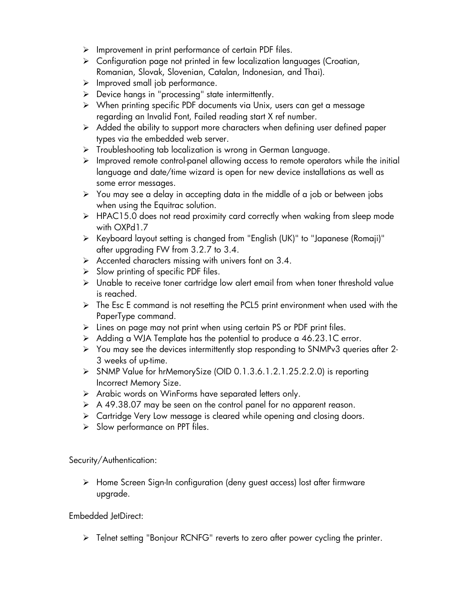- ➢ Improvement in print performance of certain PDF files.
- ➢ Configuration page not printed in few localization languages (Croatian, Romanian, Slovak, Slovenian, Catalan, Indonesian, and Thai).
- ➢ Improved small job performance.
- ➢ Device hangs in "processing" state intermittently.
- ➢ When printing specific PDF documents via Unix, users can get a message regarding an Invalid Font, Failed reading start X ref number.
- $\triangleright$  Added the ability to support more characters when defining user defined paper types via the embedded web server.
- ➢ Troubleshooting tab localization is wrong in German Language.
- $\triangleright$  Improved remote control-panel allowing access to remote operators while the initial language and date/time wizard is open for new device installations as well as some error messages.
- ➢ You may see a delay in accepting data in the middle of a job or between jobs when using the Equitrac solution.
- ➢ HPAC15.0 does not read proximity card correctly when waking from sleep mode with OXPd1.7
- ➢ Keyboard layout setting is changed from "English (UK)" to "Japanese (Romaji)" after upgrading FW from 3.2.7 to 3.4.
- $\triangleright$  Accented characters missing with univers font on 3.4.
- $\triangleright$  Slow printing of specific PDF files.
- ➢ Unable to receive toner cartridge low alert email from when toner threshold value is reached.
- ➢ The Esc E command is not resetting the PCL5 print environment when used with the PaperType command.
- ➢ Lines on page may not print when using certain PS or PDF print files.
- ➢ Adding a WJA Template has the potential to produce a 46.23.1C error.
- ➢ You may see the devices intermittently stop responding to SNMPv3 queries after 2- 3 weeks of up-time.
- ➢ SNMP Value for hrMemorySize (OID 0.1.3.6.1.2.1.25.2.2.0) is reporting Incorrect Memory Size.
- ➢ Arabic words on WinForms have separated letters only.
- ➢ A 49.38.07 may be seen on the control panel for no apparent reason.
- ➢ Cartridge Very Low message is cleared while opening and closing doors.
- ➢ Slow performance on PPT files.

Security/Authentication:

➢ Home Screen Sign-In configuration (deny guest access) lost after firmware upgrade.

Embedded JetDirect:

➢ Telnet setting "Bonjour RCNFG" reverts to zero after power cycling the printer.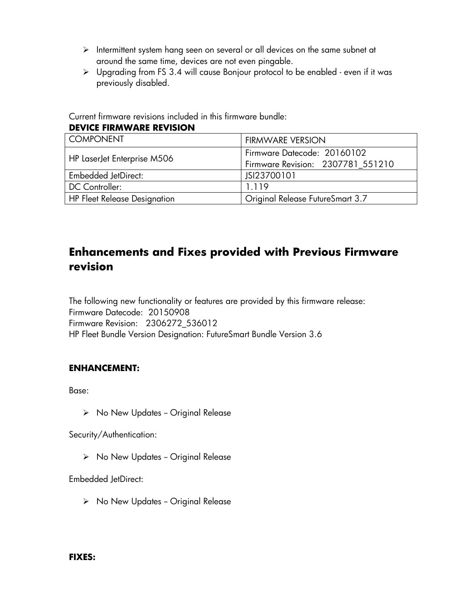- ➢ Intermittent system hang seen on several or all devices on the same subnet at around the same time, devices are not even pingable.
- ➢ Upgrading from FS 3.4 will cause Bonjour protocol to be enabled even if it was previously disabled.

Current firmware revisions included in this firmware bundle:

#### **DEVICE FIRMWARE REVISION**

| <b>COMPONENT</b>                    | <b>FIRMWARE VERSION</b>           |
|-------------------------------------|-----------------------------------|
| HP LaserJet Enterprise M506         | Firmware Datecode: 20160102       |
|                                     | Firmware Revision: 2307781 551210 |
| <b>Embedded JetDirect:</b>          | JSI23700101                       |
| <b>DC</b> Controller:               | 1.119                             |
| <b>HP Fleet Release Designation</b> | Original Release FutureSmart 3.7  |

# **Enhancements and Fixes provided with Previous Firmware revision**

The following new functionality or features are provided by this firmware release: Firmware Datecode: 20150908 Firmware Revision: 2306272\_536012 HP Fleet Bundle Version Designation: FutureSmart Bundle Version 3.6

### **ENHANCEMENT:**

Base:

 $\triangleright$  No New Updates - Original Release

Security/Authentication:

 $\triangleright$  No New Updates - Original Release

Embedded JetDirect:

 $\triangleright$  No New Updates - Original Release

### **FIXES:**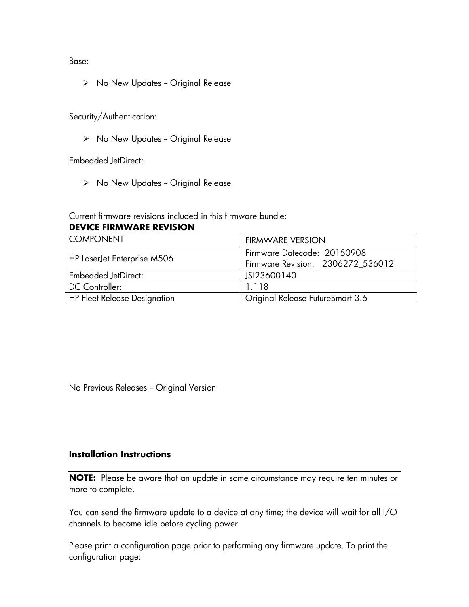Base:

 $\triangleright$  No New Updates - Original Release

Security/Authentication:

 $\triangleright$  No New Updates - Original Release

Embedded JetDirect:

➢ No New Updates -- Original Release

Current firmware revisions included in this firmware bundle:

#### **DEVICE FIRMWARE REVISION**

| <b>COMPONENT</b>                    | <b>FIRMWARE VERSION</b>           |
|-------------------------------------|-----------------------------------|
| HP LaserJet Enterprise M506         | Firmware Datecode: 20150908       |
|                                     | Firmware Revision: 2306272_536012 |
| <b>Embedded JetDirect:</b>          | JSI23600140                       |
| DC Controller:                      | 1.118                             |
| <b>HP Fleet Release Designation</b> | Original Release FutureSmart 3.6  |

No Previous Releases - Original Version

### **Installation Instructions**

**NOTE:** Please be aware that an update in some circumstance may require ten minutes or more to complete.

You can send the firmware update to a device at any time; the device will wait for all I/O channels to become idle before cycling power.

Please print a configuration page prior to performing any firmware update. To print the configuration page: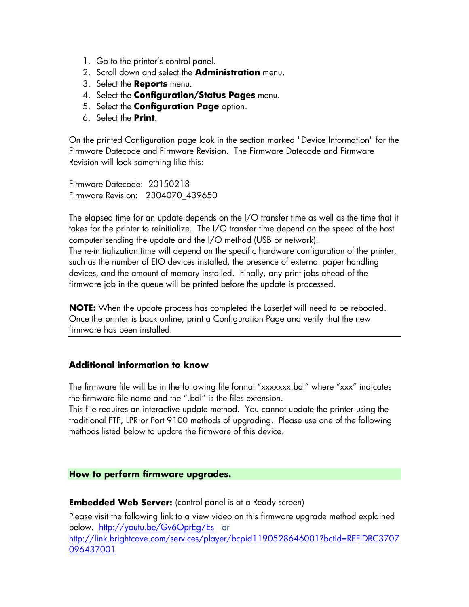- 1. Go to the printer's control panel.
- 2. Scroll down and select the **Administration** menu.
- 3. Select the **Reports** menu.
- 4. Select the **Configuration/Status Pages** menu.
- 5. Select the **Configuration Page** option.
- 6. Select the **Print**.

On the printed Configuration page look in the section marked "Device Information" for the Firmware Datecode and Firmware Revision. The Firmware Datecode and Firmware Revision will look something like this:

Firmware Datecode: 20150218 Firmware Revision: 2304070\_439650

The elapsed time for an update depends on the I/O transfer time as well as the time that it takes for the printer to reinitialize. The I/O transfer time depend on the speed of the host computer sending the update and the I/O method (USB or network). The re-initialization time will depend on the specific hardware configuration of the printer, such as the number of EIO devices installed, the presence of external paper handling devices, and the amount of memory installed. Finally, any print jobs ahead of the

firmware job in the queue will be printed before the update is processed.

**NOTE:** When the update process has completed the LaserJet will need to be rebooted. Once the printer is back online, print a Configuration Page and verify that the new firmware has been installed.

### **Additional information to know**

The firmware file will be in the following file format "xxxxxxx.bdl" where "xxx" indicates the firmware file name and the ".bdl" is the files extension.

This file requires an interactive update method. You cannot update the printer using the traditional FTP, LPR or Port 9100 methods of upgrading. Please use one of the following methods listed below to update the firmware of this device.

#### **How to perform firmware upgrades.**

**Embedded Web Server:** (control panel is at a Ready screen)

Please visit the following link to a view video on this firmware upgrade method explained below. <http://youtu.be/Gv6OprEg7Es>or [http://link.brightcove.com/services/player/bcpid1190528646001?bctid=REFIDBC3707](http://link.brightcove.com/services/player/bcpid1190528646001?bctid=REFIDBC3707096437001) [096437001](http://link.brightcove.com/services/player/bcpid1190528646001?bctid=REFIDBC3707096437001)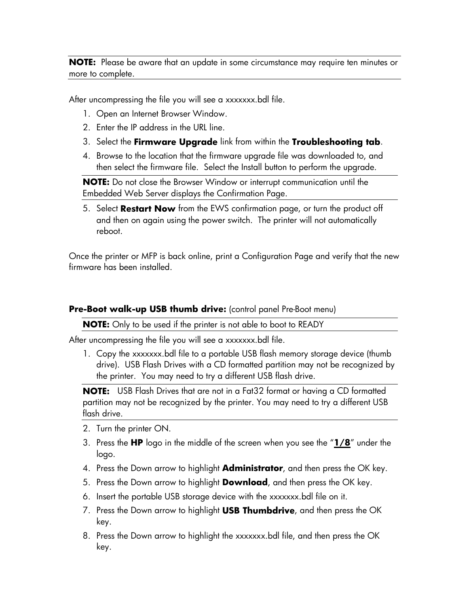**NOTE:** Please be aware that an update in some circumstance may require ten minutes or more to complete.

After uncompressing the file you will see a xxxxxxx.bdl file.

- 1. Open an Internet Browser Window.
- 2. Enter the IP address in the URL line.
- 3. Select the **Firmware Upgrade** link from within the **Troubleshooting tab**.
- 4. Browse to the location that the firmware upgrade file was downloaded to, and then select the firmware file. Select the Install button to perform the upgrade.

**NOTE:** Do not close the Browser Window or interrupt communication until the Embedded Web Server displays the Confirmation Page.

5. Select **Restart Now** from the EWS confirmation page, or turn the product off and then on again using the power switch. The printer will not automatically reboot.

Once the printer or MFP is back online, print a Configuration Page and verify that the new firmware has been installed.

### **Pre-Boot walk-up USB thumb drive:** (control panel Pre-Boot menu)

**NOTE:** Only to be used if the printer is not able to boot to READY

After uncompressing the file you will see a xxxxxxx.bdl file.

1. Copy the xxxxxxx.bdl file to a portable USB flash memory storage device (thumb drive). USB Flash Drives with a CD formatted partition may not be recognized by the printer. You may need to try a different USB flash drive.

**NOTE:** USB Flash Drives that are not in a Fat32 format or having a CD formatted partition may not be recognized by the printer. You may need to try a different USB flash drive.

- 2. Turn the printer ON.
- 3. Press the **HP** logo in the middle of the screen when you see the "**1/8**" under the logo.
- 4. Press the Down arrow to highlight **Administrator**, and then press the OK key.
- 5. Press the Down arrow to highlight **Download**, and then press the OK key.
- 6. Insert the portable USB storage device with the xxxxxxx.bdl file on it.
- 7. Press the Down arrow to highlight **USB Thumbdrive**, and then press the OK key.
- 8. Press the Down arrow to highlight the xxxxxxx.bdl file, and then press the OK key.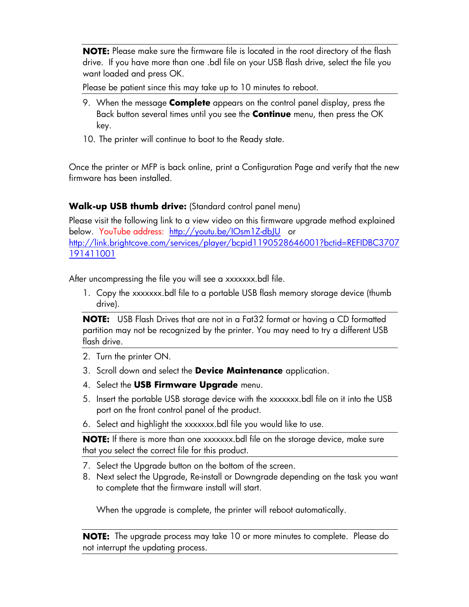**NOTE:** Please make sure the firmware file is located in the root directory of the flash drive. If you have more than one .bdl file on your USB flash drive, select the file you want loaded and press OK.

Please be patient since this may take up to 10 minutes to reboot.

- 9. When the message **Complete** appears on the control panel display, press the Back button several times until you see the **Continue** menu, then press the OK key.
- 10. The printer will continue to boot to the Ready state.

Once the printer or MFP is back online, print a Configuration Page and verify that the new firmware has been installed.

# **Walk-up USB thumb drive:** (Standard control panel menu)

Please visit the following link to a view video on this firmware upgrade method explained below. YouTube address: <http://youtu.be/IOsm1Z-dbJU>or [http://link.brightcove.com/services/player/bcpid1190528646001?bctid=REFIDBC3707](http://link.brightcove.com/services/player/bcpid1190528646001?bctid=REFIDBC3707191411001) [191411001](http://link.brightcove.com/services/player/bcpid1190528646001?bctid=REFIDBC3707191411001)

After uncompressing the file you will see a xxxxxxx.bdl file.

1. Copy the xxxxxxx.bdl file to a portable USB flash memory storage device (thumb drive).

**NOTE:** USB Flash Drives that are not in a Fat32 format or having a CD formatted partition may not be recognized by the printer. You may need to try a different USB flash drive.

- 2. Turn the printer ON.
- 3. Scroll down and select the **Device Maintenance** application.
- 4. Select the **USB Firmware Upgrade** menu.
- 5. Insert the portable USB storage device with the xxxxxxx.bdl file on it into the USB port on the front control panel of the product.
- 6. Select and highlight the xxxxxxx.bdl file you would like to use.

**NOTE:** If there is more than one xxxxxxx.bdl file on the storage device, make sure that you select the correct file for this product.

- 7. Select the Upgrade button on the bottom of the screen.
- 8. Next select the Upgrade, Re-install or Downgrade depending on the task you want to complete that the firmware install will start.

When the upgrade is complete, the printer will reboot automatically.

**NOTE:** The upgrade process may take 10 or more minutes to complete. Please do not interrupt the updating process.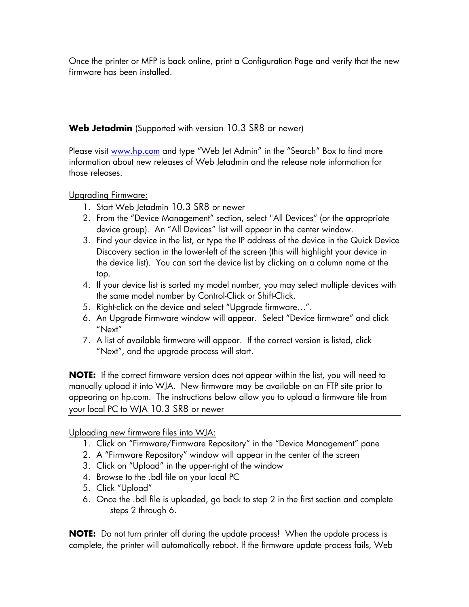Once the printer or MFP is back online, print a Configuration Page and verify that the new firmware has been installed.

**Web Jetadmin** (Supported with version 10.3 SR8 or newer)

Please visit [www.hp.com](http://www.hp.com/) and type "Web Jet Admin" in the "Search" Box to find more information about new releases of Web Jetadmin and the release note information for those releases.

Upgrading Firmware:

- 1. Start Web Jetadmin 10.3 SR8 or newer
- 2. From the "Device Management" section, select "All Devices" (or the appropriate device group). An "All Devices" list will appear in the center window.
- 3. Find your device in the list, or type the IP address of the device in the Quick Device Discovery section in the lower-left of the screen (this will highlight your device in the device list). You can sort the device list by clicking on a column name at the top.
- 4. If your device list is sorted my model number, you may select multiple devices with the same model number by Control-Click or Shift-Click.
- 5. Right-click on the device and select "Upgrade firmware…".
- 6. An Upgrade Firmware window will appear. Select "Device firmware" and click "Next"
- 7. A list of available firmware will appear. If the correct version is listed, click "Next", and the upgrade process will start.

**NOTE:** If the correct firmware version does not appear within the list, you will need to manually upload it into WJA. New firmware may be available on an FTP site prior to appearing on hp.com. The instructions below allow you to upload a firmware file from your local PC to WJA 10.3 SR8 or newer

Uploading new firmware files into WJA:

- 1. Click on "Firmware/Firmware Repository" in the "Device Management" pane
- 2. A "Firmware Repository" window will appear in the center of the screen
- 3. Click on "Upload" in the upper-right of the window
- 4. Browse to the .bdl file on your local PC
- 5. Click "Upload"
- 6. Once the .bdl file is uploaded, go back to step 2 in the first section and complete steps 2 through 6.

**NOTE:** Do not turn printer off during the update process! When the update process is complete, the printer will automatically reboot. If the firmware update process fails, Web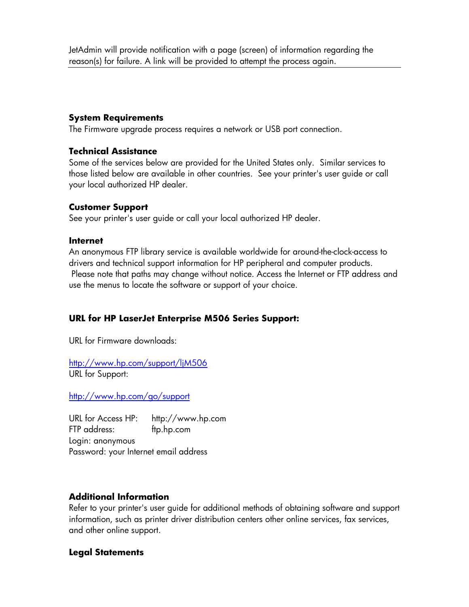JetAdmin will provide notification with a page (screen) of information regarding the reason(s) for failure. A link will be provided to attempt the process again.

### **System Requirements**

The Firmware upgrade process requires a network or USB port connection.

#### **Technical Assistance**

Some of the services below are provided for the United States only. Similar services to those listed below are available in other countries. See your printer's user guide or call your local authorized HP dealer.

### **Customer Support**

See your printer's user guide or call your local authorized HP dealer.

#### **Internet**

An anonymous FTP library service is available worldwide for around-the-clock-access to drivers and technical support information for HP peripheral and computer products. Please note that paths may change without notice. Access the Internet or FTP address and use the menus to locate the software or support of your choice.

# **URL for HP LaserJet Enterprise M506 Series Support:**

URL for Firmware downloads:

<http://www.hp.com/support/ljM506> URL for Support:

<http://www.hp.com/go/support>

URL for Access HP: http://www.hp.com FTP address: ftp.hp.com Login: anonymous Password: your Internet email address

### **Additional Information**

Refer to your printer's user guide for additional methods of obtaining software and support information, such as printer driver distribution centers other online services, fax services, and other online support.

# **Legal Statements**